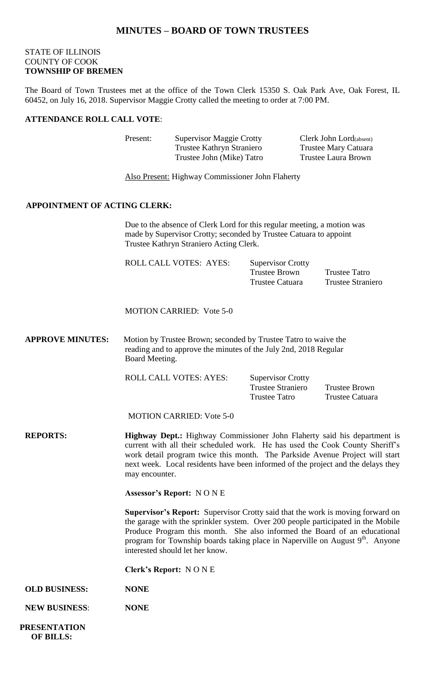## **MINUTES – BOARD OF TOWN TRUSTEES**

## STATE OF ILLINOIS COUNTY OF COOK **TOWNSHIP OF BREMEN**

The Board of Town Trustees met at the office of the Town Clerk 15350 S. Oak Park Ave, Oak Forest, IL 60452, on July 16, 2018. Supervisor Maggie Crotty called the meeting to order at 7:00 PM.

#### **ATTENDANCE ROLL CALL VOTE**:

| <b>Supervisor Maggie Crotty</b> | Clerk John Lord(absent) |
|---------------------------------|-------------------------|
| Trustee Kathryn Straniero       | Trustee Mary Catuara    |
| Trustee John (Mike) Tatro       | Trustee Laura Brown     |
|                                 |                         |

Also Present: Highway Commissioner John Flaherty

### **APPOINTMENT OF ACTING CLERK:**

Due to the absence of Clerk Lord for this regular meeting, a motion was made by Supervisor Crotty; seconded by Trustee Catuara to appoint Trustee Kathryn Straniero Acting Clerk.

| <b>ROLL CALL VOTES: AYES:</b> | <b>Supervisor Crotty</b> |                   |
|-------------------------------|--------------------------|-------------------|
|                               | Trustee Brown            | Trustee Tatro     |
|                               | Trustee Catuara          | Trustee Straniero |
|                               |                          |                   |

MOTION CARRIED: Vote 5-0

**APPROVE MINUTES:** Motion by Trustee Brown; seconded by Trustee Tatro to waive the reading and to approve the minutes of the July 2nd, 2018 Regular Board Meeting.

ROLL CALL VOTES: AYES:

| <b>Supervisor Crotty</b> |         |
|--------------------------|---------|
| <b>Trustee Straniero</b> | Trustee |
| Trustee Tatro            | Trustee |

Brown Catuara

MOTION CARRIED: Vote 5-0

**REPORTS: Highway Dept.:** Highway Commissioner John Flaherty said his department is current with all their scheduled work. He has used the Cook County Sheriff's work detail program twice this month. The Parkside Avenue Project will start next week. Local residents have been informed of the project and the delays they may encounter.

**Assessor's Report:** N O N E

**Supervisor's Report:** Supervisor Crotty said that the work is moving forward on the garage with the sprinkler system. Over 200 people participated in the Mobile Produce Program this month. She also informed the Board of an educational program for Township boards taking place in Naperville on August 9<sup>th</sup>. Anyone interested should let her know.

**Clerk's Report:** N O N E

- **OLD BUSINESS: NONE**
- **NEW BUSINESS**: **NONE**

 **PRESENTATION OF BILLS:**